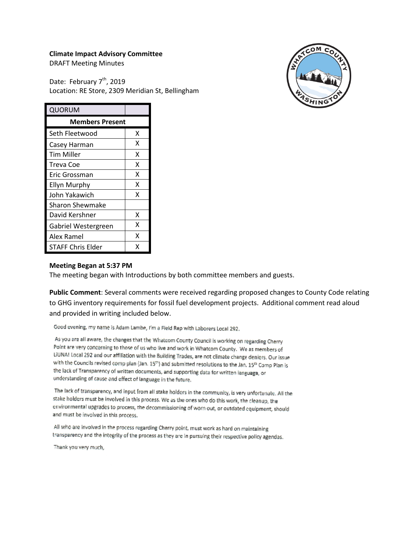### **Climate Impact Advisory Committee**

DRAFT Meeting Minutes

Date: February 7<sup>th</sup>, 2019 Location: RE Store, 2309 Meridian St, Bellingham



| QUORUM                   |   |
|--------------------------|---|
| <b>Members Present</b>   |   |
| Seth Fleetwood           | x |
| Casey Harman             | x |
| <b>Tim Miller</b>        | x |
| Treva Coe                | x |
| Eric Grossman            | X |
| <b>Ellyn Murphy</b>      | x |
| John Yakawich            | X |
| <b>Sharon Shewmake</b>   |   |
| David Kershner           | x |
| Gabriel Westergreen      | x |
| Alex Ramel               | x |
| <b>STAFF Chris Elder</b> | x |

#### **Meeting Began at 5:37 PM**

The meeting began with Introductions by both committee members and guests.

**Public Comment**: Several comments were received regarding proposed changes to County Code relating to GHG inventory requirements for fossil fuel development projects. Additional comment read aloud and provided in writing included below.

Good evening, my name is Adam Lambe, I'm a Field Rep with Laborers Local 292.

As you are all aware, the changes that the Whatcom County Council is working on regarding Cherry Point are very concerning to those of us who live and work in Whatcom County. We as members of LIUNA! Local 292 and our affiliation with the Building Trades, are not climate change deniers. Our issue with the Councils revised comp plan (Jan. 15<sup>th</sup>) and submitted resolutions to the Jan. 15<sup>th</sup> Comp Plan is the lack of Transparency of written documents, and supporting data for written language, or understanding of cause and effect of language in the future.

The lack of transparency, and input from all stake holders in the community, is very unfortunate. All the stake holders must be involved in this process. We as the ones who do this work, the cleanup, the environmental upgrades to process, the decommissioning of worn out, or outdated equipment, should and must be involved in this process.

All who are involved in the process regarding Cherry point, must work as hard on maintaining transparency and the integrity of the process as they are in pursuing their respective policy agendas.

Thank you very much,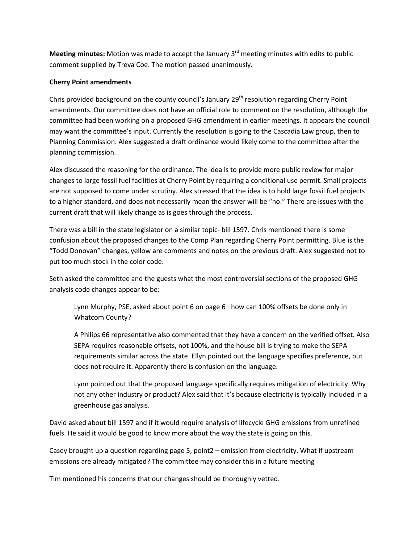**Meeting minutes:** Motion was made to accept the January 3rd meeting minutes with edits to public comment supplied by Treva Coe. The motion passed unanimously.

## **Cherry Point amendments**

Chris provided background on the county council's January 29<sup>th</sup> resolution regarding Cherry Point amendments. Our committee does not have an official role to comment on the resolution, although the committee had been working on a proposed GHG amendment in earlier meetings. It appears the council may want the committee's input. Currently the resolution is going to the Cascadia Law group, then to Planning Commission. Alex suggested a draft ordinance would likely come to the committee after the planning commission.

Alex discussed the reasoning for the ordinance. The idea is to provide more public review for major changes to large fossil fuel facilities at Cherry Point by requiring a conditional use permit. Small projects are not supposed to come under scrutiny. Alex stressed that the idea is to hold large fossil fuel projects to a higher standard, and does not necessarily mean the answer will be "no." There are issues with the current draft that will likely change as is goes through the process.

There was a bill in the state legislator on a similar topic- bill 1597. Chris mentioned there is some confusion about the proposed changes to the Comp Plan regarding Cherry Point permitting. Blue is the "Todd Donovan" changes, yellow are comments and notes on the previous draft. Alex suggested not to put too much stock in the color code.

Seth asked the committee and the guests what the most controversial sections of the proposed GHG analysis code changes appear to be:

Lynn Murphy, PSE, asked about point 6 on page 6– how can 100% offsets be done only in Whatcom County?

A Philips 66 representative also commented that they have a concern on the verified offset. Also SEPA requires reasonable offsets, not 100%, and the house bill is trying to make the SEPA requirements similar across the state. Ellyn pointed out the language specifies preference, but does not require it. Apparently there is confusion on the language.

Lynn pointed out that the proposed language specifically requires mitigation of electricity. Why not any other industry or product? Alex said that it's because electricity is typically included in a greenhouse gas analysis.

David asked about bill 1597 and if it would require analysis of lifecycle GHG emissions from unrefined fuels. He said it would be good to know more about the way the state is going on this.

Casey brought up a question regarding page 5, point2 – emission from electricity. What if upstream emissions are already mitigated? The committee may consider this in a future meeting

Tim mentioned his concerns that our changes should be thoroughly vetted.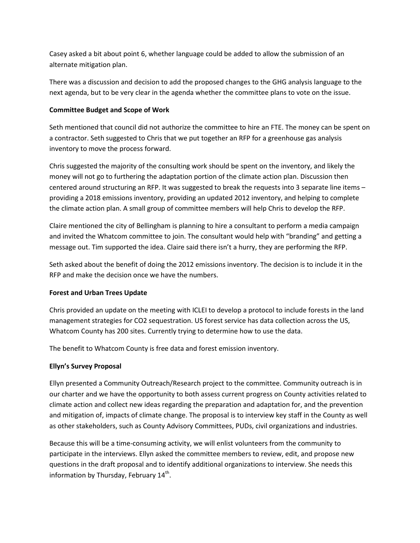Casey asked a bit about point 6, whether language could be added to allow the submission of an alternate mitigation plan.

There was a discussion and decision to add the proposed changes to the GHG analysis language to the next agenda, but to be very clear in the agenda whether the committee plans to vote on the issue.

## **Committee Budget and Scope of Work**

Seth mentioned that council did not authorize the committee to hire an FTE. The money can be spent on a contractor. Seth suggested to Chris that we put together an RFP for a greenhouse gas analysis inventory to move the process forward.

Chris suggested the majority of the consulting work should be spent on the inventory, and likely the money will not go to furthering the adaptation portion of the climate action plan. Discussion then centered around structuring an RFP. It was suggested to break the requests into 3 separate line items – providing a 2018 emissions inventory, providing an updated 2012 inventory, and helping to complete the climate action plan. A small group of committee members will help Chris to develop the RFP.

Claire mentioned the city of Bellingham is planning to hire a consultant to perform a media campaign and invited the Whatcom committee to join. The consultant would help with "branding" and getting a message out. Tim supported the idea. Claire said there isn't a hurry, they are performing the RFP.

Seth asked about the benefit of doing the 2012 emissions inventory. The decision is to include it in the RFP and make the decision once we have the numbers.

# **Forest and Urban Trees Update**

Chris provided an update on the meeting with ICLEI to develop a protocol to include forests in the land management strategies for CO2 sequestration. US forest service has data collection across the US, Whatcom County has 200 sites. Currently trying to determine how to use the data.

The benefit to Whatcom County is free data and forest emission inventory.

# **Ellyn's Survey Proposal**

Ellyn presented a Community Outreach/Research project to the committee. Community outreach is in our charter and we have the opportunity to both assess current progress on County activities related to climate action and collect new ideas regarding the preparation and adaptation for, and the prevention and mitigation of, impacts of climate change. The proposal is to interview key staff in the County as well as other stakeholders, such as County Advisory Committees, PUDs, civil organizations and industries.

Because this will be a time-consuming activity, we will enlist volunteers from the community to participate in the interviews. Ellyn asked the committee members to review, edit, and propose new questions in the draft proposal and to identify additional organizations to interview. She needs this information by Thursday, February  $14<sup>th</sup>$ .